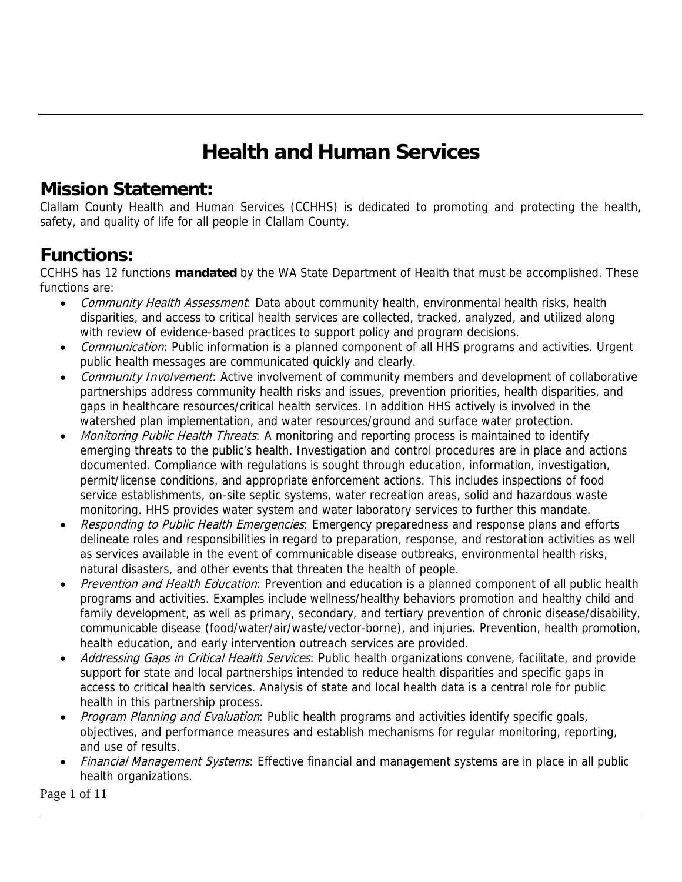# **Health and Human Services**

#### **Mission Statement:**

Clallam County Health and Human Services (CCHHS) is dedicated to promoting and protecting the health, safety, and quality of life for all people in Clallam County.

#### **Functions:**

CCHHS has 12 functions **mandated** by the WA State Department of Health that must be accomplished. These functions are:

- Community Health Assessment: Data about community health, environmental health risks, health disparities, and access to critical health services are collected, tracked, analyzed, and utilized along with review of evidence-based practices to support policy and program decisions.
- *Communication*: Public information is a planned component of all HHS programs and activities. Urgent public health messages are communicated quickly and clearly.
- Community Involvement: Active involvement of community members and development of collaborative partnerships address community health risks and issues, prevention priorities, health disparities, and gaps in healthcare resources/critical health services. In addition HHS actively is involved in the watershed plan implementation, and water resources/ground and surface water protection.
- Monitoring Public Health Threats: A monitoring and reporting process is maintained to identify emerging threats to the public's health. Investigation and control procedures are in place and actions documented. Compliance with regulations is sought through education, information, investigation, permit/license conditions, and appropriate enforcement actions. This includes inspections of food service establishments, on-site septic systems, water recreation areas, solid and hazardous waste monitoring. HHS provides water system and water laboratory services to further this mandate.
- Responding to Public Health Emergencies: Emergency preparedness and response plans and efforts delineate roles and responsibilities in regard to preparation, response, and restoration activities as well as services available in the event of communicable disease outbreaks, environmental health risks, natural disasters, and other events that threaten the health of people.
- Prevention and Health Education: Prevention and education is a planned component of all public health programs and activities. Examples include wellness/healthy behaviors promotion and healthy child and family development, as well as primary, secondary, and tertiary prevention of chronic disease/disability, communicable disease (food/water/air/waste/vector-borne), and injuries. Prevention, health promotion, health education, and early intervention outreach services are provided.
- Addressing Gaps in Critical Health Services: Public health organizations convene, facilitate, and provide support for state and local partnerships intended to reduce health disparities and specific gaps in access to critical health services. Analysis of state and local health data is a central role for public health in this partnership process.
- Program Planning and Evaluation: Public health programs and activities identify specific goals, objectives, and performance measures and establish mechanisms for regular monitoring, reporting, and use of results.
- Financial Management Systems: Effective financial and management systems are in place in all public health organizations.

Page 1 of 11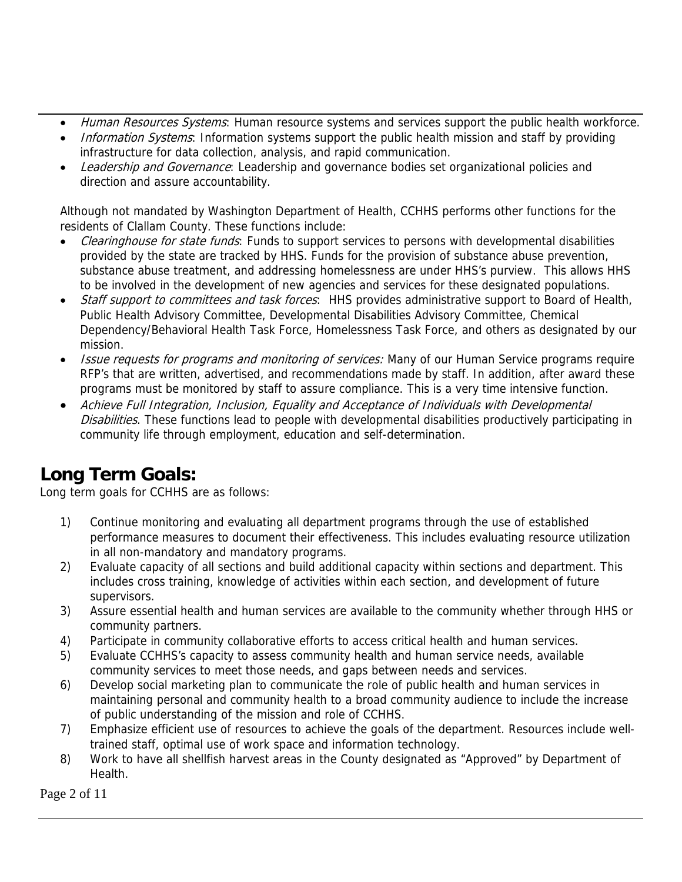- Human Resources Systems: Human resource systems and services support the public health workforce.
- Information Systems: Information systems support the public health mission and staff by providing infrastructure for data collection, analysis, and rapid communication.
- Leadership and Governance: Leadership and governance bodies set organizational policies and direction and assure accountability.

Although not mandated by Washington Department of Health, CCHHS performs other functions for the residents of Clallam County. These functions include:

- Clearinghouse for state funds: Funds to support services to persons with developmental disabilities provided by the state are tracked by HHS. Funds for the provision of substance abuse prevention, substance abuse treatment, and addressing homelessness are under HHS's purview. This allows HHS to be involved in the development of new agencies and services for these designated populations.
- Staff support to committees and task forces: HHS provides administrative support to Board of Health, Public Health Advisory Committee, Developmental Disabilities Advisory Committee, Chemical Dependency/Behavioral Health Task Force, Homelessness Task Force, and others as designated by our mission.
- **Issue requests for programs and monitoring of services:** Many of our Human Service programs require RFP's that are written, advertised, and recommendations made by staff. In addition, after award these programs must be monitored by staff to assure compliance. This is a very time intensive function.
- Achieve Full Integration, Inclusion, Equality and Acceptance of Individuals with Developmental Disabilities. These functions lead to people with developmental disabilities productively participating in community life through employment, education and self-determination.

### **Long Term Goals:**

Long term goals for CCHHS are as follows:

- 1) Continue monitoring and evaluating all department programs through the use of established performance measures to document their effectiveness. This includes evaluating resource utilization in all non-mandatory and mandatory programs.
- 2) Evaluate capacity of all sections and build additional capacity within sections and department. This includes cross training, knowledge of activities within each section, and development of future supervisors.
- 3) Assure essential health and human services are available to the community whether through HHS or community partners.
- 4) Participate in community collaborative efforts to access critical health and human services.
- 5) Evaluate CCHHS's capacity to assess community health and human service needs, available community services to meet those needs, and gaps between needs and services.
- 6) Develop social marketing plan to communicate the role of public health and human services in maintaining personal and community health to a broad community audience to include the increase of public understanding of the mission and role of CCHHS.
- 7) Emphasize efficient use of resources to achieve the goals of the department. Resources include welltrained staff, optimal use of work space and information technology.
- 8) Work to have all shellfish harvest areas in the County designated as "Approved" by Department of Health.

Page 2 of 11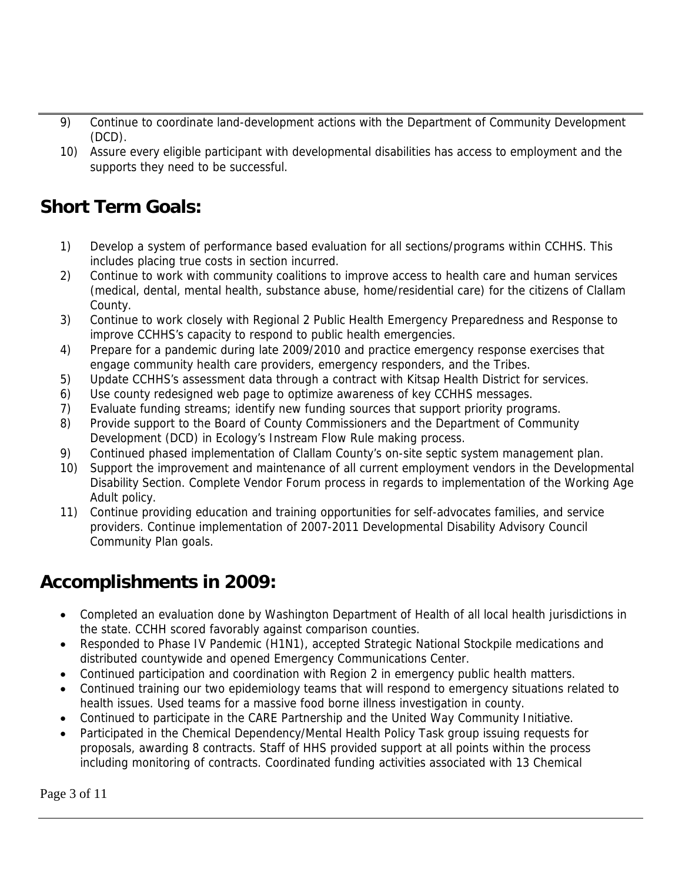- 9) Continue to coordinate land-development actions with the Department of Community Development (DCD).
- 10) Assure every eligible participant with developmental disabilities has access to employment and the supports they need to be successful.

### **Short Term Goals:**

- 1) Develop a system of performance based evaluation for all sections/programs within CCHHS. This includes placing true costs in section incurred.
- 2) Continue to work with community coalitions to improve access to health care and human services (medical, dental, mental health, substance abuse, home/residential care) for the citizens of Clallam County.
- 3) Continue to work closely with Regional 2 Public Health Emergency Preparedness and Response to improve CCHHS's capacity to respond to public health emergencies.
- 4) Prepare for a pandemic during late 2009/2010 and practice emergency response exercises that engage community health care providers, emergency responders, and the Tribes.
- 5) Update CCHHS's assessment data through a contract with Kitsap Health District for services.
- 6) Use county redesigned web page to optimize awareness of key CCHHS messages.
- 7) Evaluate funding streams; identify new funding sources that support priority programs.
- 8) Provide support to the Board of County Commissioners and the Department of Community Development (DCD) in Ecology's Instream Flow Rule making process.
- 9) Continued phased implementation of Clallam County's on-site septic system management plan.
- 10) Support the improvement and maintenance of all current employment vendors in the Developmental Disability Section. Complete Vendor Forum process in regards to implementation of the Working Age Adult policy.
- 11) Continue providing education and training opportunities for self-advocates families, and service providers. Continue implementation of 2007-2011 Developmental Disability Advisory Council Community Plan goals.

### **Accomplishments in 2009:**

- Completed an evaluation done by Washington Department of Health of all local health jurisdictions in the state. CCHH scored favorably against comparison counties.
- Responded to Phase IV Pandemic (H1N1), accepted Strategic National Stockpile medications and distributed countywide and opened Emergency Communications Center.
- Continued participation and coordination with Region 2 in emergency public health matters.
- Continued training our two epidemiology teams that will respond to emergency situations related to health issues. Used teams for a massive food borne illness investigation in county.
- Continued to participate in the CARE Partnership and the United Way Community Initiative.
- Participated in the Chemical Dependency/Mental Health Policy Task group issuing requests for proposals, awarding 8 contracts. Staff of HHS provided support at all points within the process including monitoring of contracts. Coordinated funding activities associated with 13 Chemical

Page 3 of 11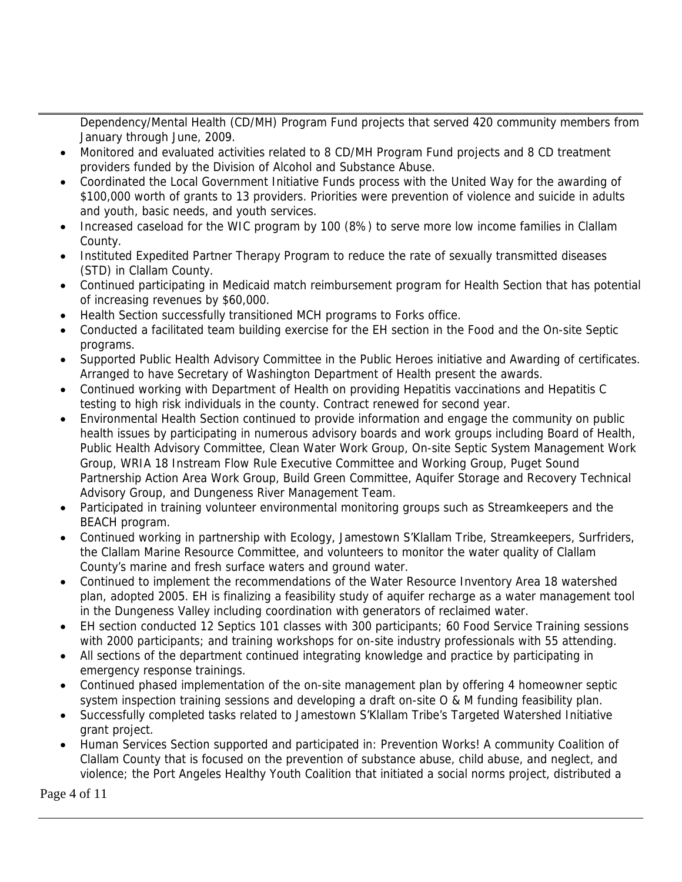Dependency/Mental Health (CD/MH) Program Fund projects that served 420 community members from January through June, 2009.

- Monitored and evaluated activities related to 8 CD/MH Program Fund projects and 8 CD treatment providers funded by the Division of Alcohol and Substance Abuse.
- Coordinated the Local Government Initiative Funds process with the United Way for the awarding of \$100,000 worth of grants to 13 providers. Priorities were prevention of violence and suicide in adults and youth, basic needs, and youth services.
- Increased caseload for the WIC program by 100 (8%) to serve more low income families in Clallam County.
- Instituted Expedited Partner Therapy Program to reduce the rate of sexually transmitted diseases (STD) in Clallam County.
- Continued participating in Medicaid match reimbursement program for Health Section that has potential of increasing revenues by \$60,000.
- Health Section successfully transitioned MCH programs to Forks office.
- Conducted a facilitated team building exercise for the EH section in the Food and the On-site Septic programs.
- Supported Public Health Advisory Committee in the Public Heroes initiative and Awarding of certificates. Arranged to have Secretary of Washington Department of Health present the awards.
- Continued working with Department of Health on providing Hepatitis vaccinations and Hepatitis C testing to high risk individuals in the county. Contract renewed for second year.
- Environmental Health Section continued to provide information and engage the community on public health issues by participating in numerous advisory boards and work groups including Board of Health, Public Health Advisory Committee, Clean Water Work Group, On-site Septic System Management Work Group, WRIA 18 Instream Flow Rule Executive Committee and Working Group, Puget Sound Partnership Action Area Work Group, Build Green Committee, Aquifer Storage and Recovery Technical Advisory Group, and Dungeness River Management Team.
- Participated in training volunteer environmental monitoring groups such as Streamkeepers and the BEACH program.
- Continued working in partnership with Ecology, Jamestown S'Klallam Tribe, Streamkeepers, Surfriders, the Clallam Marine Resource Committee, and volunteers to monitor the water quality of Clallam County's marine and fresh surface waters and ground water.
- Continued to implement the recommendations of the Water Resource Inventory Area 18 watershed plan, adopted 2005. EH is finalizing a feasibility study of aquifer recharge as a water management tool in the Dungeness Valley including coordination with generators of reclaimed water.
- EH section conducted 12 Septics 101 classes with 300 participants; 60 Food Service Training sessions with 2000 participants; and training workshops for on-site industry professionals with 55 attending.
- All sections of the department continued integrating knowledge and practice by participating in emergency response trainings.
- Continued phased implementation of the on-site management plan by offering 4 homeowner septic system inspection training sessions and developing a draft on-site O & M funding feasibility plan.
- Successfully completed tasks related to Jamestown S'Klallam Tribe's Targeted Watershed Initiative grant project.
- Human Services Section supported and participated in: Prevention Works! A community Coalition of Clallam County that is focused on the prevention of substance abuse, child abuse, and neglect, and violence; the Port Angeles Healthy Youth Coalition that initiated a social norms project, distributed a

Page 4 of 11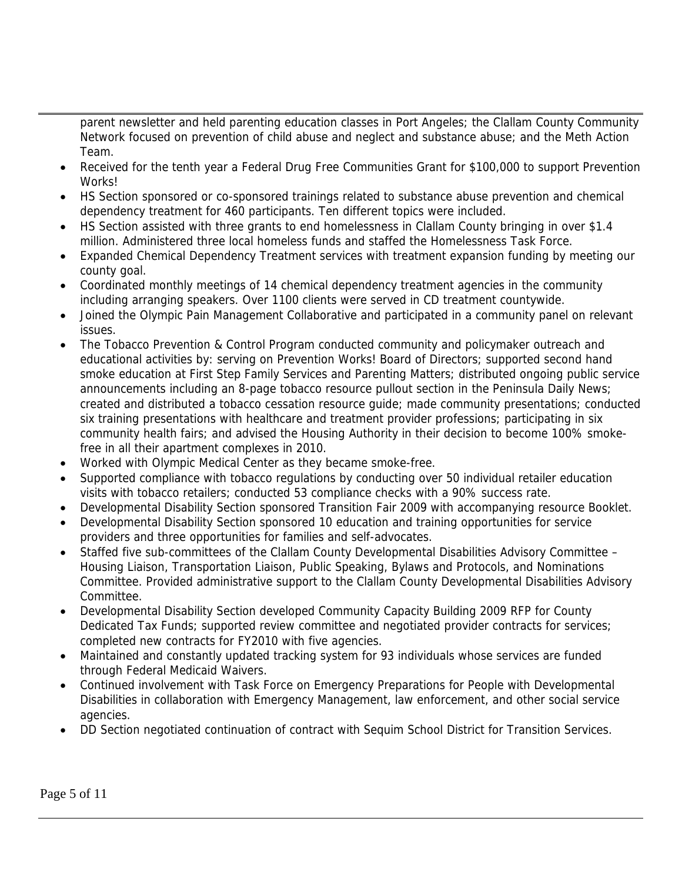parent newsletter and held parenting education classes in Port Angeles; the Clallam County Community Network focused on prevention of child abuse and neglect and substance abuse; and the Meth Action Team.

- Received for the tenth year a Federal Drug Free Communities Grant for \$100,000 to support Prevention Works!
- HS Section sponsored or co-sponsored trainings related to substance abuse prevention and chemical dependency treatment for 460 participants. Ten different topics were included.
- HS Section assisted with three grants to end homelessness in Clallam County bringing in over \$1.4 million. Administered three local homeless funds and staffed the Homelessness Task Force.
- Expanded Chemical Dependency Treatment services with treatment expansion funding by meeting our county goal.
- Coordinated monthly meetings of 14 chemical dependency treatment agencies in the community including arranging speakers. Over 1100 clients were served in CD treatment countywide.
- Joined the Olympic Pain Management Collaborative and participated in a community panel on relevant issues.
- The Tobacco Prevention & Control Program conducted community and policymaker outreach and educational activities by: serving on Prevention Works! Board of Directors; supported second hand smoke education at First Step Family Services and Parenting Matters; distributed ongoing public service announcements including an 8-page tobacco resource pullout section in the Peninsula Daily News; created and distributed a tobacco cessation resource guide; made community presentations; conducted six training presentations with healthcare and treatment provider professions; participating in six community health fairs; and advised the Housing Authority in their decision to become 100% smokefree in all their apartment complexes in 2010.
- Worked with Olympic Medical Center as they became smoke-free.
- Supported compliance with tobacco regulations by conducting over 50 individual retailer education visits with tobacco retailers; conducted 53 compliance checks with a 90% success rate.
- Developmental Disability Section sponsored Transition Fair 2009 with accompanying resource Booklet.
- Developmental Disability Section sponsored 10 education and training opportunities for service providers and three opportunities for families and self-advocates.
- Staffed five sub-committees of the Clallam County Developmental Disabilities Advisory Committee Housing Liaison, Transportation Liaison, Public Speaking, Bylaws and Protocols, and Nominations Committee. Provided administrative support to the Clallam County Developmental Disabilities Advisory Committee.
- Developmental Disability Section developed Community Capacity Building 2009 RFP for County Dedicated Tax Funds; supported review committee and negotiated provider contracts for services; completed new contracts for FY2010 with five agencies.
- Maintained and constantly updated tracking system for 93 individuals whose services are funded through Federal Medicaid Waivers.
- Continued involvement with Task Force on Emergency Preparations for People with Developmental Disabilities in collaboration with Emergency Management, law enforcement, and other social service agencies.
- DD Section negotiated continuation of contract with Sequim School District for Transition Services.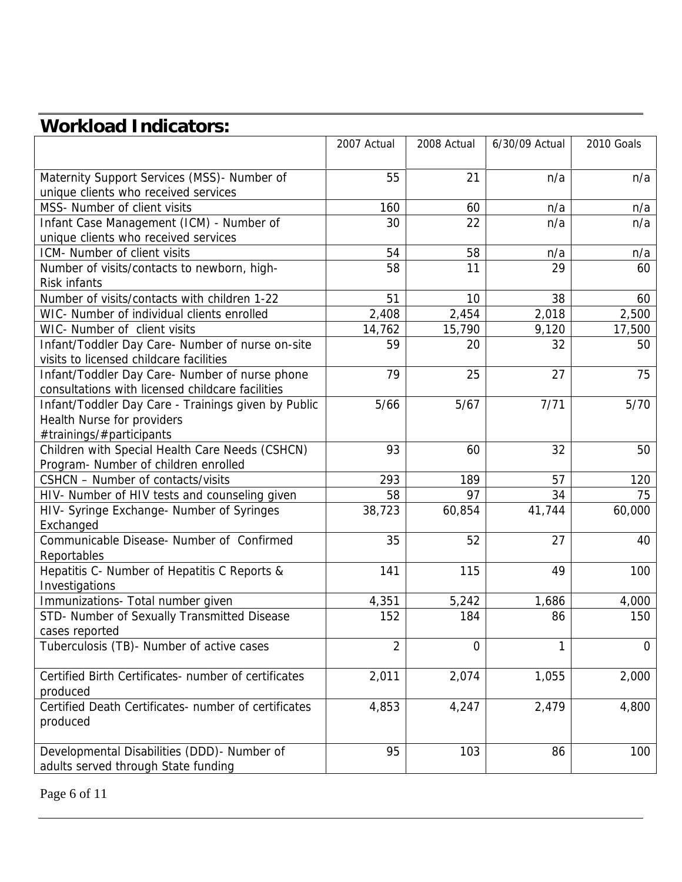# **Workload Indicators:**

|                                                                                                    | 2007 Actual    | 2008 Actual | 6/30/09 Actual | 2010 Goals  |
|----------------------------------------------------------------------------------------------------|----------------|-------------|----------------|-------------|
| Maternity Support Services (MSS)- Number of<br>unique clients who received services                | 55             | 21          | n/a            | n/a         |
| MSS- Number of client visits                                                                       | 160            | 60          | n/a            | n/a         |
| Infant Case Management (ICM) - Number of                                                           | 30             | 22          | n/a            | n/a         |
| unique clients who received services                                                               |                |             |                |             |
| ICM- Number of client visits                                                                       | 54             | 58          | n/a            | n/a         |
| Number of visits/contacts to newborn, high-                                                        | 58             | 11          | 29             | 60          |
| <b>Risk infants</b>                                                                                |                |             |                |             |
| Number of visits/contacts with children 1-22                                                       | 51             | 10          | 38             | 60          |
| WIC- Number of individual clients enrolled                                                         | 2,408          | 2,454       | 2,018          | 2,500       |
| WIC- Number of client visits                                                                       | 14,762         | 15,790      | 9,120          | 17,500      |
| Infant/Toddler Day Care- Number of nurse on-site<br>visits to licensed childcare facilities        | 59             | 20          | 32             | 50          |
|                                                                                                    | 79             | 25          | 27             | 75          |
| Infant/Toddler Day Care- Number of nurse phone<br>consultations with licensed childcare facilities |                |             |                |             |
| Infant/Toddler Day Care - Trainings given by Public                                                | 5/66           | 5/67        | 7/71           | $5/70$      |
| Health Nurse for providers                                                                         |                |             |                |             |
| #trainings/#participants                                                                           |                |             |                |             |
| Children with Special Health Care Needs (CSHCN)                                                    | 93             | 60          | 32             | 50          |
| Program- Number of children enrolled                                                               |                |             |                |             |
| CSHCN - Number of contacts/visits                                                                  | 293            | 189         | 57             | 120         |
| HIV- Number of HIV tests and counseling given                                                      | 58             | 97          | 34             | 75          |
| HIV- Syringe Exchange- Number of Syringes                                                          | 38,723         | 60,854      | 41,744         | 60,000      |
| Exchanged                                                                                          |                |             |                |             |
| Communicable Disease- Number of Confirmed                                                          | 35             | 52          | 27             | 40          |
| Reportables                                                                                        |                |             |                |             |
| Hepatitis C- Number of Hepatitis C Reports &                                                       | 141            | 115         | 49             | 100         |
| Investigations                                                                                     |                |             |                |             |
| Immunizations- Total number given                                                                  | 4,351          | 5,242       | 1,686          | 4,000       |
| STD- Number of Sexually Transmitted Disease                                                        | 152            | 184         | 86             | 150         |
| cases reported<br>Tuberculosis (TB)- Number of active cases                                        |                |             |                |             |
|                                                                                                    | $\overline{2}$ | 0           | 1              | $\mathbf 0$ |
| Certified Birth Certificates- number of certificates                                               | 2,011          | 2,074       | 1,055          | 2,000       |
| produced                                                                                           |                |             |                |             |
| Certified Death Certificates- number of certificates                                               | 4,853          | 4,247       | 2,479          | 4,800       |
| produced                                                                                           |                |             |                |             |
| Developmental Disabilities (DDD)- Number of                                                        | 95             | 103         | 86             | 100         |
| adults served through State funding                                                                |                |             |                |             |
|                                                                                                    |                |             |                |             |

Page 6 of 11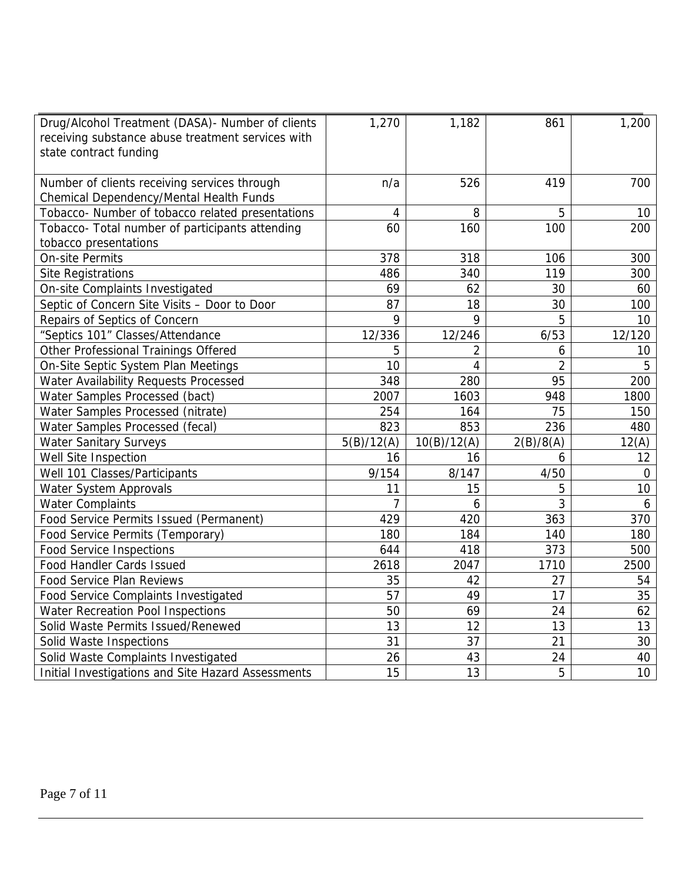| Drug/Alcohol Treatment (DASA) - Number of clients<br>receiving substance abuse treatment services with<br>state contract funding | 1,270          | 1,182       | 861            | 1,200  |
|----------------------------------------------------------------------------------------------------------------------------------|----------------|-------------|----------------|--------|
| Number of clients receiving services through<br>Chemical Dependency/Mental Health Funds                                          | n/a            | 526         | 419            | 700    |
| Tobacco- Number of tobacco related presentations                                                                                 | 4              | 8           | 5              | 10     |
| Tobacco- Total number of participants attending                                                                                  | 60             | 160         | 100            | 200    |
| tobacco presentations                                                                                                            |                |             |                |        |
| <b>On-site Permits</b>                                                                                                           | 378            | 318         | 106            | 300    |
| <b>Site Registrations</b>                                                                                                        | 486            | 340         | 119            | 300    |
| On-site Complaints Investigated                                                                                                  | 69             | 62          | 30             | 60     |
| Septic of Concern Site Visits - Door to Door                                                                                     | 87             | 18          | 30             | 100    |
| Repairs of Septics of Concern                                                                                                    | 9              | 9           | 5              | 10     |
| "Septics 101" Classes/Attendance                                                                                                 | 12/336         | 12/246      | 6/53           | 12/120 |
| Other Professional Trainings Offered                                                                                             | 5              | 2           | 6              | 10     |
| On-Site Septic System Plan Meetings                                                                                              | 10             | 4           | $\overline{2}$ | 5      |
| Water Availability Requests Processed                                                                                            | 348            | 280         | 95             | 200    |
| Water Samples Processed (bact)                                                                                                   | 2007           | 1603        | 948            | 1800   |
| Water Samples Processed (nitrate)                                                                                                | 254            | 164         | 75             | 150    |
| Water Samples Processed (fecal)                                                                                                  | 823            | 853         | 236            | 480    |
| <b>Water Sanitary Surveys</b>                                                                                                    | 5(B)/12(A)     | 10(B)/12(A) | 2(B)/8(A)      | 12(A)  |
| Well Site Inspection                                                                                                             | 16             | 16          | 6              | 12     |
| Well 101 Classes/Participants                                                                                                    | 9/154          | 8/147       | 4/50           | 0      |
| Water System Approvals                                                                                                           | 11             | 15          | 5              | 10     |
| <b>Water Complaints</b>                                                                                                          | $\overline{7}$ | 6           | 3              | 6      |
| Food Service Permits Issued (Permanent)                                                                                          | 429            | 420         | 363            | 370    |
| Food Service Permits (Temporary)                                                                                                 | 180            | 184         | 140            | 180    |
| <b>Food Service Inspections</b>                                                                                                  | 644            | 418         | 373            | 500    |
| Food Handler Cards Issued                                                                                                        | 2618           | 2047        | 1710           | 2500   |
| <b>Food Service Plan Reviews</b>                                                                                                 | 35             | 42          | 27             | 54     |
| Food Service Complaints Investigated                                                                                             | 57             | 49          | 17             | 35     |
| Water Recreation Pool Inspections                                                                                                | 50             | 69          | 24             | 62     |
| Solid Waste Permits Issued/Renewed                                                                                               | 13             | 12          | 13             | 13     |
| Solid Waste Inspections                                                                                                          | 31             | 37          | 21             | 30     |
| Solid Waste Complaints Investigated                                                                                              | 26             | 43          | 24             | 40     |
| Initial Investigations and Site Hazard Assessments                                                                               | 15             | 13          | 5              | 10     |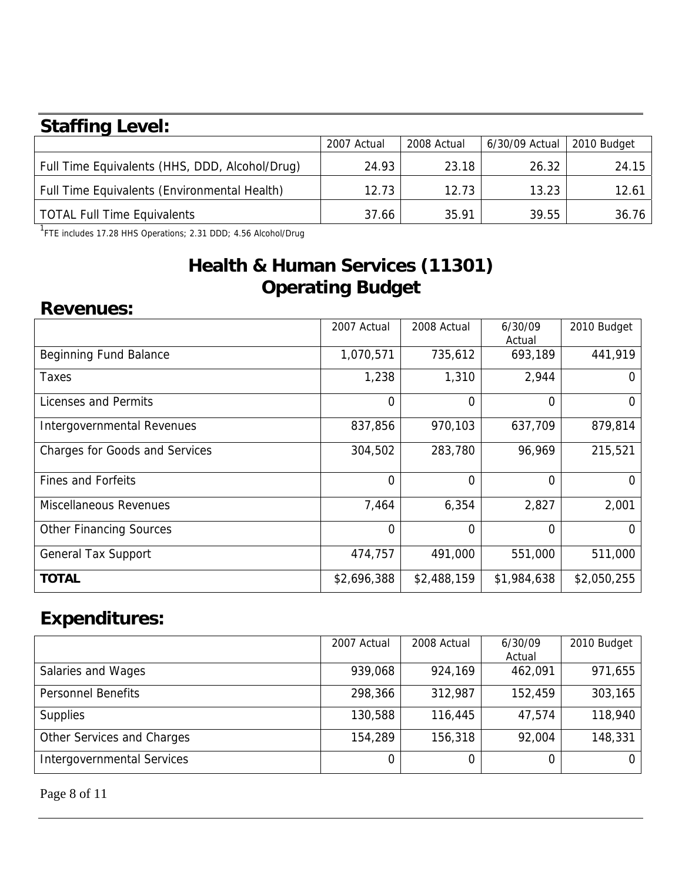## **Staffing Level:**

| 2007 Actual | 2008 Actual | 6/30/09 Actual | 2010 Budget |
|-------------|-------------|----------------|-------------|
| 24.93       | 23.18       | 26.32          | 24.15       |
| 12.73       | 12.73       | 13.23          | 12.61       |
| 37.66       | 35.91       | 39.55          | 36.76       |
|             |             |                |             |

<sup>1</sup>FTE includes 17.28 HHS Operations; 2.31 DDD; 4.56 Alcohol/Drug

### **Health & Human Services (11301) Operating Budget**

#### **Revenues:**

|                                       | 2007 Actual    | 2008 Actual | 6/30/09<br>Actual | 2010 Budget |
|---------------------------------------|----------------|-------------|-------------------|-------------|
| Beginning Fund Balance                | 1,070,571      | 735,612     | 693,189           | 441,919     |
| Taxes                                 | 1,238          | 1,310       | 2,944             | $\Omega$    |
| Licenses and Permits                  | $\overline{0}$ | 0           | 0                 | 0           |
| <b>Intergovernmental Revenues</b>     | 837,856        | 970,103     | 637,709           | 879,814     |
| <b>Charges for Goods and Services</b> | 304,502        | 283,780     | 96,969            | 215,521     |
| <b>Fines and Forfeits</b>             | $\overline{0}$ | $\Omega$    | 0                 | $\Omega$    |
| Miscellaneous Revenues                | 7,464          | 6,354       | 2,827             | 2,001       |
| <b>Other Financing Sources</b>        | $\overline{0}$ | 0           | 0                 | $\Omega$    |
| <b>General Tax Support</b>            | 474,757        | 491,000     | 551,000           | 511,000     |
| <b>TOTAL</b>                          | \$2,696,388    | \$2,488,159 | \$1,984,638       | \$2,050,255 |

### **Expenditures:**

|                            | 2007 Actual | 2008 Actual | 6/30/09 | 2010 Budget |
|----------------------------|-------------|-------------|---------|-------------|
|                            |             |             | Actual  |             |
| Salaries and Wages         | 939,068     | 924,169     | 462,091 | 971,655     |
| <b>Personnel Benefits</b>  | 298,366     | 312,987     | 152,459 | 303,165     |
| <b>Supplies</b>            | 130,588     | 116,445     | 47,574  | 118,940     |
| Other Services and Charges | 154,289     | 156,318     | 92,004  | 148,331     |
| Intergovernmental Services | 0           |             |         | 0           |

Page 8 of 11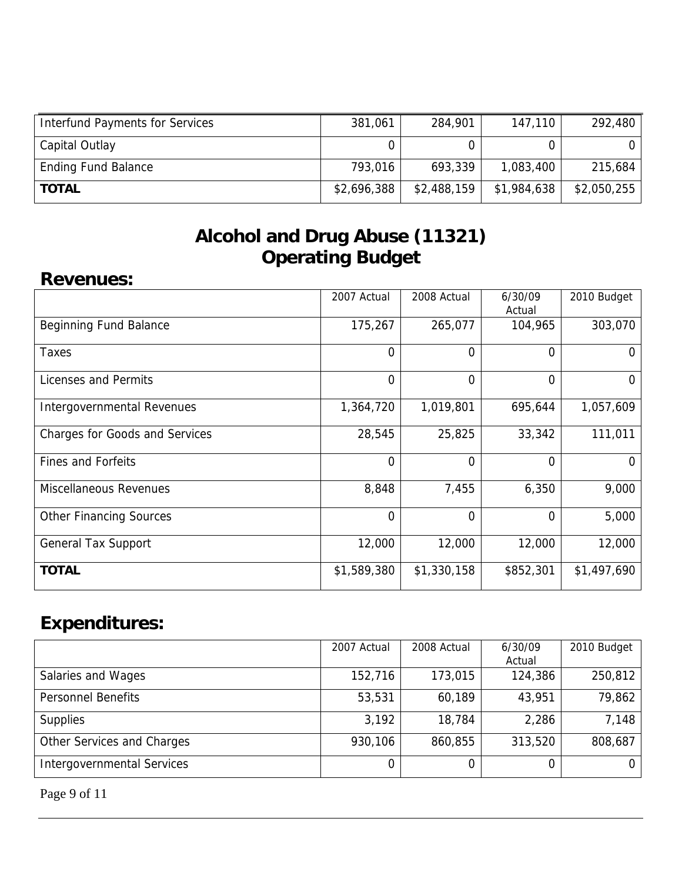| Interfund Payments for Services | 381,061     | 284,901     | 147,110     | 292,480     |
|---------------------------------|-------------|-------------|-------------|-------------|
| Capital Outlay                  |             |             |             |             |
| <b>Ending Fund Balance</b>      | 793,016     | 693,339     | 1,083,400   | 215,684     |
| <b>TOTAL</b>                    | \$2,696,388 | \$2,488,159 | \$1,984,638 | \$2,050,255 |

### **Alcohol and Drug Abuse (11321) Operating Budget**

#### **Revenues:**

|                                       | 2007 Actual    | 2008 Actual | 6/30/09<br>Actual | 2010 Budget |
|---------------------------------------|----------------|-------------|-------------------|-------------|
| <b>Beginning Fund Balance</b>         | 175,267        | 265,077     | 104,965           | 303,070     |
| Taxes                                 | $\overline{0}$ | 0           | $\Omega$          | 0           |
| Licenses and Permits                  | $\overline{0}$ | 0           | 0                 | 0           |
| Intergovernmental Revenues            | 1,364,720      | 1,019,801   | 695,644           | 1,057,609   |
| <b>Charges for Goods and Services</b> | 28,545         | 25,825      | 33,342            | 111,011     |
| <b>Fines and Forfeits</b>             | $\overline{0}$ | 0           | $\Omega$          | 0           |
| <b>Miscellaneous Revenues</b>         | 8,848          | 7,455       | 6,350             | 9,000       |
| <b>Other Financing Sources</b>        | $\overline{0}$ | 0           | $\overline{0}$    | 5,000       |
| <b>General Tax Support</b>            | 12,000         | 12,000      | 12,000            | 12,000      |
| <b>TOTAL</b>                          | \$1,589,380    | \$1,330,158 | \$852,301         | \$1,497,690 |

# **Expenditures:**

|                                   | 2007 Actual | 2008 Actual | 6/30/09 | 2010 Budget |
|-----------------------------------|-------------|-------------|---------|-------------|
|                                   |             |             | Actual  |             |
| Salaries and Wages                | 152,716     | 173,015     | 124,386 | 250,812     |
| <b>Personnel Benefits</b>         | 53,531      | 60,189      | 43,951  | 79,862      |
| <b>Supplies</b>                   | 3,192       | 18,784      | 2,286   | 7,148       |
| Other Services and Charges        | 930,106     | 860,855     | 313,520 | 808,687     |
| <b>Intergovernmental Services</b> |             | 0           |         | 0.          |

Page 9 of 11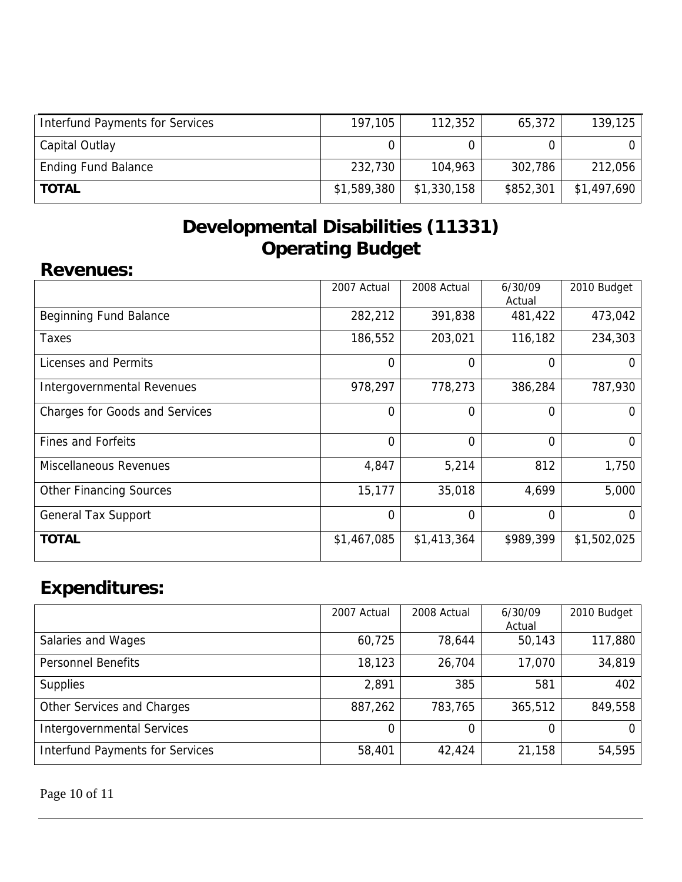| <b>Interfund Payments for Services</b> | 197,105     | 112,352     | 65,372    | 139,125     |
|----------------------------------------|-------------|-------------|-----------|-------------|
| Capital Outlay                         |             |             |           |             |
| <b>Ending Fund Balance</b>             | 232,730     | 104,963     | 302,786   | 212,056     |
| <b>TOTAL</b>                           | \$1,589,380 | \$1,330,158 | \$852,301 | \$1,497,690 |

### **Developmental Disabilities (11331) Operating Budget**

#### **Revenues:**

|                                       | 2007 Actual    | 2008 Actual | 6/30/09<br>Actual | 2010 Budget  |
|---------------------------------------|----------------|-------------|-------------------|--------------|
| Beginning Fund Balance                | 282,212        | 391,838     | 481,422           | 473,042      |
| Taxes                                 | 186,552        | 203,021     | 116,182           | 234,303      |
| <b>Licenses and Permits</b>           | $\Omega$       | 0           | 0                 | O            |
| Intergovernmental Revenues            | 978,297        | 778,273     | 386,284           | 787,930      |
| <b>Charges for Goods and Services</b> | 0              | 0           | 0                 | $\mathbf{0}$ |
| <b>Fines and Forfeits</b>             | $\Omega$       | $\Omega$    | 0                 | $\Omega$     |
| Miscellaneous Revenues                | 4,847          | 5,214       | 812               | 1,750        |
| <b>Other Financing Sources</b>        | 15,177         | 35,018      | 4,699             | 5,000        |
| <b>General Tax Support</b>            | $\overline{0}$ | 0           | 0                 | 0            |
| <b>TOTAL</b>                          | \$1,467,085    | \$1,413,364 | \$989,399         | \$1,502,025  |

# **Expenditures:**

|                                        | 2007 Actual | 2008 Actual | 6/30/09<br>Actual | 2010 Budget |
|----------------------------------------|-------------|-------------|-------------------|-------------|
| Salaries and Wages                     | 60,725      | 78,644      | 50,143            | 117,880     |
| <b>Personnel Benefits</b>              | 18,123      | 26,704      | 17,070            | 34,819      |
| <b>Supplies</b>                        | 2,891       | 385         | 581               | 402         |
| Other Services and Charges             | 887,262     | 783,765     | 365,512           | 849,558     |
| <b>Intergovernmental Services</b>      | 0           | 0           | 0                 |             |
| <b>Interfund Payments for Services</b> | 58,401      | 42,424      | 21,158            | 54,595      |

Page 10 of 11